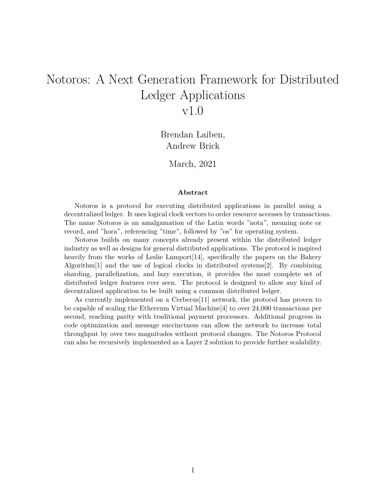# Notoros: A Next Generation Framework for Distributed Ledger Applications v1.0

Brendan Laiben, Andrew Brick

March, 2021

#### **Abstract**

Notoros is a protocol for executing distributed applications in parallel using a decentralized ledger. It uses logical clock vectors to order resource accesses by transactions. The name Notoros is an amalgamation of the Latin words "nota", meaning note or record, and "hora", referencing "time", followed by "os" for operating system.

Notoros builds on many concepts already present within the distributed ledger industry as well as designs for general distributed applications. The protocol is inspired heavily from the works of Leslie Lamport[14], specifically the papers on the Bakery Algorithm[1] and the use of logical clocks in distributed systems[2]. By combining sharding, parallelization, and lazy execution, it provides the most complete set of distributed ledger features ever seen. The protocol is designed to allow any kind of decentralized application to be built using a common distributed ledger.

As currently implemented on a Cerberus[11] network, the protocol has proven to be capable of scaling the Ethereum Virtual Machine[4] to over 24,000 transactions per second, reaching parity with traditional payment processors. Additional progress in code optimization and message succinctness can allow the network to increase total throughput by over two magnitudes without protocol changes. The Notoros Protocol can also be recursively implemented as a Layer 2 solution to provide further scalability.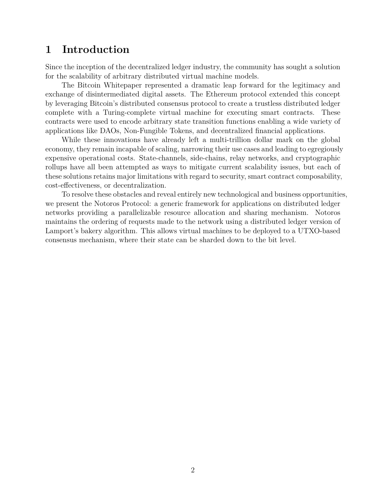# **1 Introduction**

Since the inception of the decentralized ledger industry, the community has sought a solution for the scalability of arbitrary distributed virtual machine models.

The Bitcoin Whitepaper represented a dramatic leap forward for the legitimacy and exchange of disintermediated digital assets. The Ethereum protocol extended this concept by leveraging Bitcoin's distributed consensus protocol to create a trustless distributed ledger complete with a Turing-complete virtual machine for executing smart contracts. These contracts were used to encode arbitrary state transition functions enabling a wide variety of applications like DAOs, Non-Fungible Tokens, and decentralized financial applications.

While these innovations have already left a multi-trillion dollar mark on the global economy, they remain incapable of scaling, narrowing their use cases and leading to egregiously expensive operational costs. State-channels, side-chains, relay networks, and cryptographic rollups have all been attempted as ways to mitigate current scalability issues, but each of these solutions retains major limitations with regard to security, smart contract composability, cost-effectiveness, or decentralization.

To resolve these obstacles and reveal entirely new technological and business opportunities, we present the Notoros Protocol: a generic framework for applications on distributed ledger networks providing a parallelizable resource allocation and sharing mechanism. Notoros maintains the ordering of requests made to the network using a distributed ledger version of Lamport's bakery algorithm. This allows virtual machines to be deployed to a UTXO-based consensus mechanism, where their state can be sharded down to the bit level.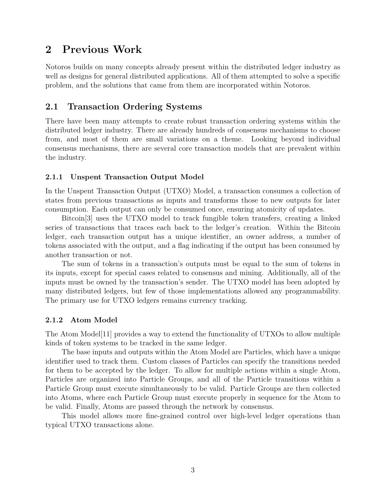# **2 Previous Work**

Notoros builds on many concepts already present within the distributed ledger industry as well as designs for general distributed applications. All of them attempted to solve a specific problem, and the solutions that came from them are incorporated within Notoros.

## **2.1 Transaction Ordering Systems**

There have been many attempts to create robust transaction ordering systems within the distributed ledger industry. There are already hundreds of consensus mechanisms to choose from, and most of them are small variations on a theme. Looking beyond individual consensus mechanisms, there are several core transaction models that are prevalent within the industry.

### **2.1.1 Unspent Transaction Output Model**

In the Unspent Transaction Output (UTXO) Model, a transaction consumes a collection of states from previous transactions as inputs and transforms those to new outputs for later consumption. Each output can only be consumed once, ensuring atomicity of updates.

Bitcoin[3] uses the UTXO model to track fungible token transfers, creating a linked series of transactions that traces each back to the ledger's creation. Within the Bitcoin ledger, each transaction output has a unique identifier, an owner address, a number of tokens associated with the output, and a flag indicating if the output has been consumed by another transaction or not.

The sum of tokens in a transaction's outputs must be equal to the sum of tokens in its inputs, except for special cases related to consensus and mining. Additionally, all of the inputs must be owned by the transaction's sender. The UTXO model has been adopted by many distributed ledgers, but few of those implementations allowed any programmability. The primary use for UTXO ledgers remains currency tracking.

### **2.1.2 Atom Model**

The Atom Model[11] provides a way to extend the functionality of UTXOs to allow multiple kinds of token systems to be tracked in the same ledger.

The base inputs and outputs within the Atom Model are Particles, which have a unique identifier used to track them. Custom classes of Particles can specify the transitions needed for them to be accepted by the ledger. To allow for multiple actions within a single Atom, Particles are organized into Particle Groups, and all of the Particle transitions within a Particle Group must execute simultaneously to be valid. Particle Groups are then collected into Atoms, where each Particle Group must execute properly in sequence for the Atom to be valid. Finally, Atoms are passed through the network by consensus.

This model allows more fine-grained control over high-level ledger operations than typical UTXO transactions alone.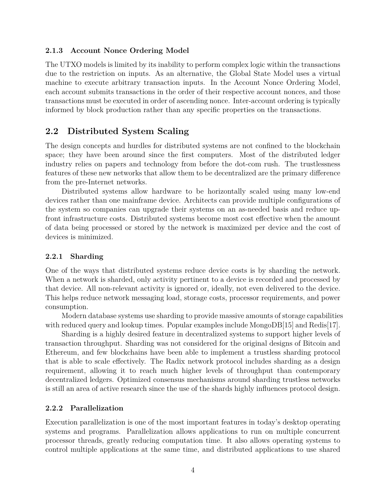#### **2.1.3 Account Nonce Ordering Model**

The UTXO models is limited by its inability to perform complex logic within the transactions due to the restriction on inputs. As an alternative, the Global State Model uses a virtual machine to execute arbitrary transaction inputs. In the Account Nonce Ordering Model, each account submits transactions in the order of their respective account nonces, and those transactions must be executed in order of ascending nonce. Inter-account ordering is typically informed by block production rather than any specific properties on the transactions.

## **2.2 Distributed System Scaling**

The design concepts and hurdles for distributed systems are not confined to the blockchain space; they have been around since the first computers. Most of the distributed ledger industry relies on papers and technology from before the dot-com rush. The trustlessness features of these new networks that allow them to be decentralized are the primary difference from the pre-Internet networks.

Distributed systems allow hardware to be horizontally scaled using many low-end devices rather than one mainframe device. Architects can provide multiple configurations of the system so companies can upgrade their systems on an as-needed basis and reduce upfront infrastructure costs. Distributed systems become most cost effective when the amount of data being processed or stored by the network is maximized per device and the cost of devices is minimized.

### **2.2.1 Sharding**

One of the ways that distributed systems reduce device costs is by sharding the network. When a network is sharded, only activity pertinent to a device is recorded and processed by that device. All non-relevant activity is ignored or, ideally, not even delivered to the device. This helps reduce network messaging load, storage costs, processor requirements, and power consumption.

Modern database systems use sharding to provide massive amounts of storage capabilities with reduced query and lookup times. Popular examples include MongoDB[15] and Redis[17].

Sharding is a highly desired feature in decentralized systems to support higher levels of transaction throughput. Sharding was not considered for the original designs of Bitcoin and Ethereum, and few blockchains have been able to implement a trustless sharding protocol that is able to scale effectively. The Radix network protocol includes sharding as a design requirement, allowing it to reach much higher levels of throughput than contemporary decentralized ledgers. Optimized consensus mechanisms around sharding trustless networks is still an area of active research since the use of the shards highly influences protocol design.

### **2.2.2 Parallelization**

Execution parallelization is one of the most important features in today's desktop operating systems and programs. Parallelization allows applications to run on multiple concurrent processor threads, greatly reducing computation time. It also allows operating systems to control multiple applications at the same time, and distributed applications to use shared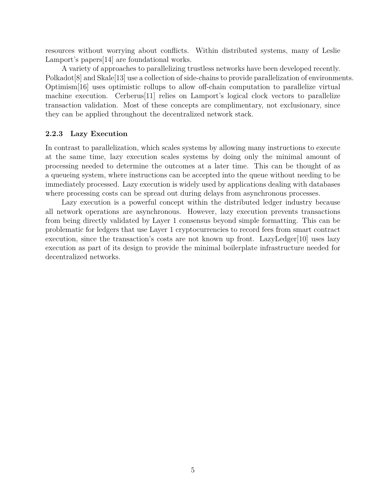resources without worrying about conflicts. Within distributed systems, many of Leslie Lamport's papers[14] are foundational works.

A variety of approaches to parallelizing trustless networks have been developed recently. Polkadot<sup>[8]</sup> and Skale<sup>[13]</sup> use a collection of side-chains to provide parallelization of environments. Optimism[16] uses optimistic rollups to allow off-chain computation to parallelize virtual machine execution. Cerberus[11] relies on Lamport's logical clock vectors to parallelize transaction validation. Most of these concepts are complimentary, not exclusionary, since they can be applied throughout the decentralized network stack.

### **2.2.3 Lazy Execution**

In contrast to parallelization, which scales systems by allowing many instructions to execute at the same time, lazy execution scales systems by doing only the minimal amount of processing needed to determine the outcomes at a later time. This can be thought of as a queueing system, where instructions can be accepted into the queue without needing to be immediately processed. Lazy execution is widely used by applications dealing with databases where processing costs can be spread out during delays from asynchronous processes.

Lazy execution is a powerful concept within the distributed ledger industry because all network operations are asynchronous. However, lazy execution prevents transactions from being directly validated by Layer 1 consensus beyond simple formatting. This can be problematic for ledgers that use Layer 1 cryptocurrencies to record fees from smart contract execution, since the transaction's costs are not known up front. LazyLedger[10] uses lazy execution as part of its design to provide the minimal boilerplate infrastructure needed for decentralized networks.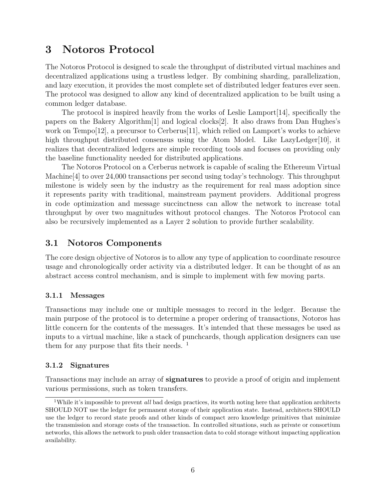# **3 Notoros Protocol**

The Notoros Protocol is designed to scale the throughput of distributed virtual machines and decentralized applications using a trustless ledger. By combining sharding, parallelization, and lazy execution, it provides the most complete set of distributed ledger features ever seen. The protocol was designed to allow any kind of decentralized application to be built using a common ledger database.

The protocol is inspired heavily from the works of Leslie Lamport[14], specifically the papers on the Bakery Algorithm[1] and logical clocks[2]. It also draws from Dan Hughes's work on Tempo[12], a precursor to Cerberus[11], which relied on Lamport's works to achieve high throughput distributed consensus using the Atom Model. Like LazyLedger[10], it realizes that decentralized ledgers are simple recording tools and focuses on providing only the baseline functionality needed for distributed applications.

The Notoros Protocol on a Cerberus network is capable of scaling the Ethereum Virtual Machine[4] to over 24,000 transactions per second using today's technology. This throughput milestone is widely seen by the industry as the requirement for real mass adoption since it represents parity with traditional, mainstream payment providers. Additional progress in code optimization and message succinctness can allow the network to increase total throughput by over two magnitudes without protocol changes. The Notoros Protocol can also be recursively implemented as a Layer 2 solution to provide further scalability.

## **3.1 Notoros Components**

The core design objective of Notoros is to allow any type of application to coordinate resource usage and chronologically order activity via a distributed ledger. It can be thought of as an abstract access control mechanism, and is simple to implement with few moving parts.

### **3.1.1 Messages**

Transactions may include one or multiple messages to record in the ledger. Because the main purpose of the protocol is to determine a proper ordering of transactions, Notoros has little concern for the contents of the messages. It's intended that these messages be used as inputs to a virtual machine, like a stack of punchcards, though application designers can use them for any purpose that fits their needs.  $<sup>1</sup>$ </sup>

#### **3.1.2 Signatures**

Transactions may include an array of **signatures** to provide a proof of origin and implement various permissions, such as token transfers.

<sup>&</sup>lt;sup>1</sup>While it's impossible to prevent *all* bad design practices, its worth noting here that application architects SHOULD NOT use the ledger for permanent storage of their application state. Instead, architects SHOULD use the ledger to record state proofs and other kinds of compact zero knowledge primitives that minimize the transmission and storage costs of the transaction. In controlled situations, such as private or consortium networks, this allows the network to push older transaction data to cold storage without impacting application availability.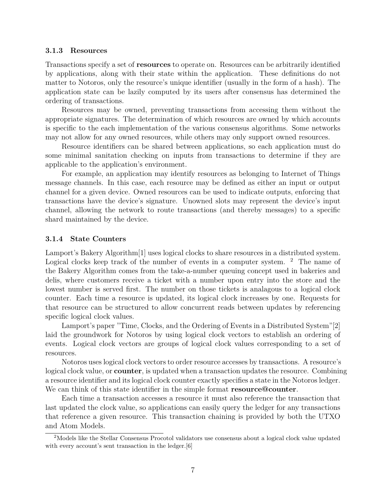#### **3.1.3 Resources**

Transactions specify a set of **resources** to operate on. Resources can be arbitrarily identified by applications, along with their state within the application. These definitions do not matter to Notoros, only the resource's unique identifier (usually in the form of a hash). The application state can be lazily computed by its users after consensus has determined the ordering of transactions.

Resources may be owned, preventing transactions from accessing them without the appropriate signatures. The determination of which resources are owned by which accounts is specific to the each implementation of the various consensus algorithms. Some networks may not allow for any owned resources, while others may only support owned resources.

Resource identifiers can be shared between applications, so each application must do some minimal sanitation checking on inputs from transactions to determine if they are applicable to the application's environment.

For example, an application may identify resources as belonging to Internet of Things message channels. In this case, each resource may be defined as either an input or output channel for a given device. Owned resources can be used to indicate outputs, enforcing that transactions have the device's signature. Unowned slots may represent the device's input channel, allowing the network to route transactions (and thereby messages) to a specific shard maintained by the device.

#### **3.1.4 State Counters**

Lamport's Bakery Algorithm[1] uses logical clocks to share resources in a distributed system. Logical clocks keep track of the number of events in a computer system.  $2$  The name of the Bakery Algorithm comes from the take-a-number queuing concept used in bakeries and delis, where customers receive a ticket with a number upon entry into the store and the lowest number is served first. The number on those tickets is analagous to a logical clock counter. Each time a resource is updated, its logical clock increases by one. Requests for that resource can be structured to allow concurrent reads between updates by referencing specific logical clock values.

Lamport's paper "Time, Clocks, and the Ordering of Events in a Distributed System"[2] laid the groundwork for Notoros by using logical clock vectors to establish an ordering of events. Logical clock vectors are groups of logical clock values corresponding to a set of resources.

Notoros uses logical clock vectors to order resource accesses by transactions. A resource's logical clock value, or **counter**, is updated when a transaction updates the resource. Combining a resource identifier and its logical clock counter exactly specifies a state in the Notoros ledger. We can think of this state identifier in the simple format **resource@counter**.

Each time a transaction accesses a resource it must also reference the transaction that last updated the clock value, so applications can easily query the ledger for any transactions that reference a given resource. This transaction chaining is provided by both the UTXO and Atom Models.

<sup>2</sup>Models like the Stellar Consensus Procotol validators use consensus about a logical clock value updated with every account's sent transaction in the ledger. [6]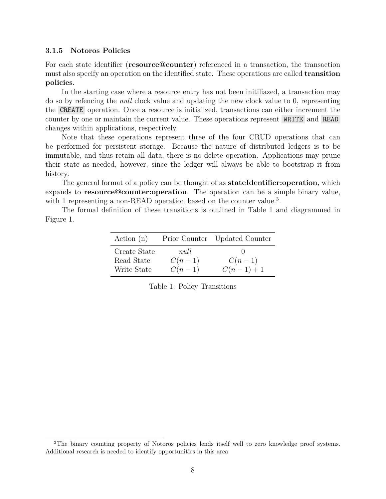#### **3.1.5 Notoros Policies**

For each state identifier (**resource@counter**) referenced in a transaction, the transaction must also specify an operation on the identified state. These operations are called **transition policies**.

In the starting case where a resource entry has not been initiliazed, a transaction may do so by refencing the *null* clock value and updating the new clock value to 0, representing the CREATE operation. Once a resource is initialized, transactions can either increment the counter by one or maintain the current value. These operations represent WRITE and READ changes within applications, respectively.

Note that these operations represent three of the four CRUD operations that can be performed for persistent storage. Because the nature of distributed ledgers is to be immutable, and thus retain all data, there is no delete operation. Applications may prune their state as needed, however, since the ledger will always be able to bootstrap it from history.

The general format of a policy can be thought of as **stateIdentifier:operation**, which expands to **resource@counter:operation**. The operation can be a simple binary value, with 1 representing a non-READ operation based on the counter value.<sup>3</sup>.

The formal definition of these transitions is outlined in Table 1 and diagrammed in Figure 1.

| Action $(n)$                              |                              | Prior Counter Updated Counter |
|-------------------------------------------|------------------------------|-------------------------------|
| Create State<br>Read State<br>Write State | null<br>$C(n-1)$<br>$C(n-1)$ | $C(n-1)$<br>$C(n-1)+1$        |

|  |  | Table 1: Policy Transitions |
|--|--|-----------------------------|
|--|--|-----------------------------|

<sup>&</sup>lt;sup>3</sup>The binary counting property of Notoros policies lends itself well to zero knowledge proof systems. Additional research is needed to identify opportunities in this area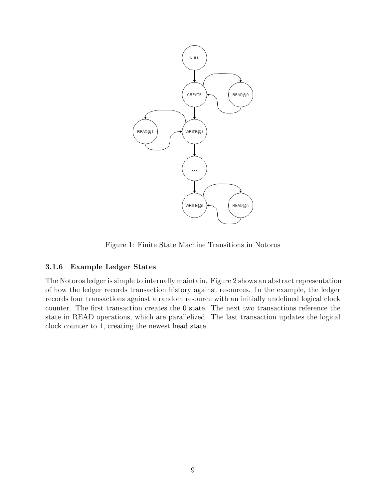

Figure 1: Finite State Machine Transitions in Notoros

#### **3.1.6 Example Ledger States**

The Notoros ledger is simple to internally maintain. Figure 2 shows an abstract representation of how the ledger records transaction history against resources. In the example, the ledger records four transactions against a random resource with an initially undefined logical clock counter. The first transaction creates the 0 state. The next two transactions reference the state in READ operations, which are parallelized. The last transaction updates the logical clock counter to 1, creating the newest head state.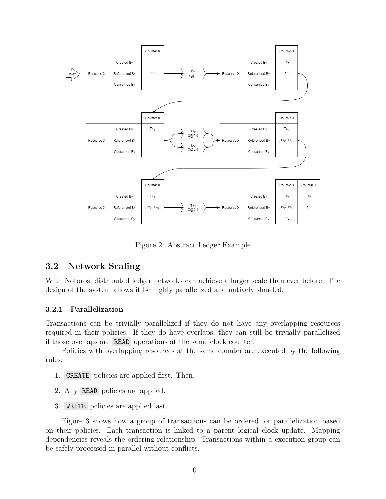

Figure 2: Abstract Ledger Example

## **3.2 Network Scaling**

With Notoros, distributed ledger networks can achieve a larger scale than ever before. The design of the system allows it be highly parallelized and natively sharded.

#### **3.2.1 Parallelization**

Transactions can be trivially parallelized if they do not have any overlapping resources required in their policies. If they do have overlaps, they can still be trivially parallelized if those overlaps are READ operations at the same clock counter.

Policies with overlapping resources at the same counter are executed by the following rules:

- 1. CREATE policies are applied first. Then,
- 2. Any READ policies are applied.
- 3. WRITE policies are applied last.

Figure 3 shows how a group of transactions can be ordered for parallelization based on their policies. Each transaction is linked to a parent logical clock update. Mapping dependencies reveals the ordering relationship. Transactions within a execution group can be safely processed in parallel without conflicts.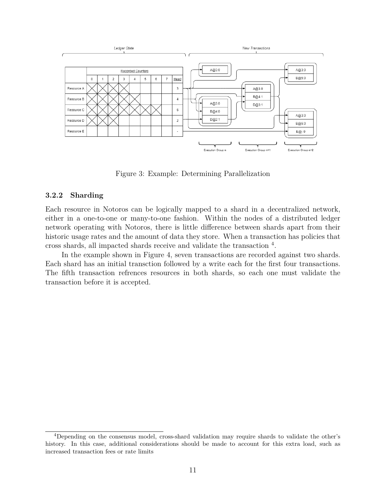

Figure 3: Example: Determining Parallelization

#### **3.2.2 Sharding**

Each resource in Notoros can be logically mapped to a shard in a decentralized network, either in a one-to-one or many-to-one fashion. Within the nodes of a distributed ledger network operating with Notoros, there is little difference between shards apart from their historic usage rates and the amount of data they store. When a transaction has policies that cross shards, all impacted shards receive and validate the transaction <sup>4</sup> .

In the example shown in Figure 4, seven transactions are recorded against two shards. Each shard has an initial transction followed by a write each for the first four transactions. The fifth transaction refrences resources in both shards, so each one must validate the transaction before it is accepted.

<sup>4</sup>Depending on the consensus model, cross-shard validation may require shards to validate the other's history. In this case, additional considerations should be made to account for this extra load, such as increased transaction fees or rate limits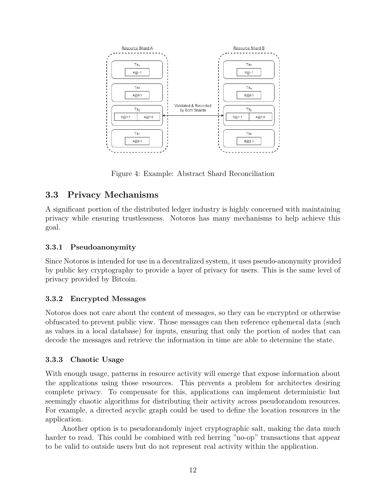

Figure 4: Example: Abstract Shard Reconciliation

## **3.3 Privacy Mechanisms**

A significant portion of the distributed ledger industry is highly concerned with maintaining privacy while ensuring trustlessness. Notoros has many mechanisms to help achieve this goal.

### **3.3.1 Pseudoanonymity**

Since Notoros is intended for use in a decentralized system, it uses pseudo-anonymity provided by public key cryptography to provide a layer of privacy for users. This is the same level of privacy provided by Bitcoin.

### **3.3.2 Encrypted Messages**

Notoros does not care about the content of messages, so they can be encrypted or otherwise obfuscated to prevent public view. Those messages can then reference ephemeral data (such as values in a local database) for inputs, ensuring that only the portion of nodes that can decode the messages and retrieve the information in time are able to determine the state.

### **3.3.3 Chaotic Usage**

With enough usage, patterns in resource activity will emerge that expose information about the applications using those resources. This prevents a problem for architectes desiring complete privacy. To compensate for this, applications can implement deterministic but seemingly chaotic algorithms for distributing their activity across pseudorandom resources. For example, a directed acyclic graph could be used to define the location resources in the application.

Another option is to pseudorandomly inject cryptographic salt, making the data much harder to read. This could be combined with red herring "no-op" transactions that appear to be valid to outside users but do not represent real activity within the application.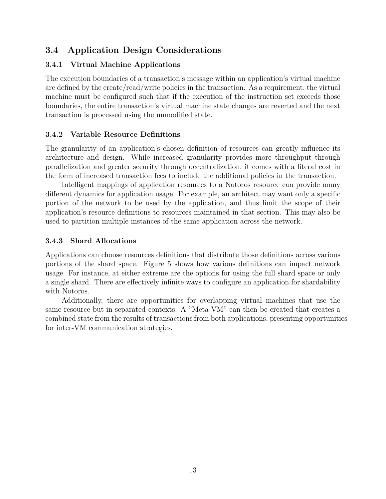## **3.4 Application Design Considerations**

## **3.4.1 Virtual Machine Applications**

The execution boundaries of a transaction's message within an application's virtual machine are defined by the create/read/write policies in the transaction. As a requirement, the virtual machine must be configured such that if the execution of the instruction set exceeds those boundaries, the entire transaction's virtual machine state changes are reverted and the next transaction is processed using the unmodified state.

### **3.4.2 Variable Resource Definitions**

The granularity of an application's chosen definition of resources can greatly influence its architecture and design. While increased granularity provides more throughput through parallelization and greater security through decentralization, it comes with a literal cost in the form of increased transaction fees to include the additional policies in the transaction.

Intelligent mappings of application resources to a Notoros resource can provide many different dynamics for application usage. For example, an architect may want only a specific portion of the network to be used by the application, and thus limit the scope of their application's resource definitions to resources maintained in that section. This may also be used to partition multiple instances of the same application across the network.

### **3.4.3 Shard Allocations**

Applications can choose resources definitions that distribute those definitions across various portions of the shard space. Figure 5 shows how various definitions can impact network usage. For instance, at either extreme are the options for using the full shard space or only a single shard. There are effectively infinite ways to configure an application for shardability with Notoros.

Additionally, there are opportunities for overlapping virtual machines that use the same resource but in separated contexts. A "Meta VM" can then be created that creates a combined state from the results of transactions from both applications, presenting opportunities for inter-VM communication strategies.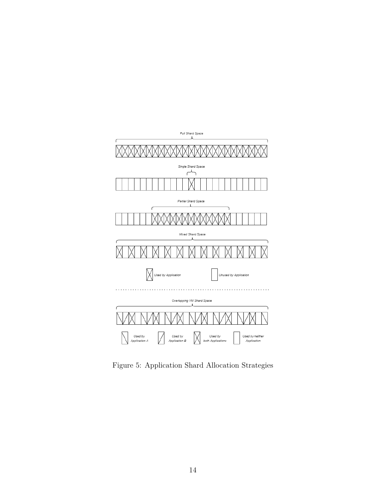

Figure 5: Application Shard Allocation Strategies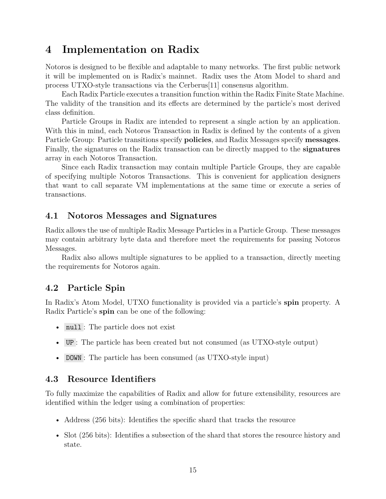# **4 Implementation on Radix**

Notoros is designed to be flexible and adaptable to many networks. The first public network it will be implemented on is Radix's mainnet. Radix uses the Atom Model to shard and process UTXO-style transactions via the Cerberus[11] consensus algorithm.

Each Radix Particle executes a transition function within the Radix Finite State Machine. The validity of the transition and its effects are determined by the particle's most derived class definition.

Particle Groups in Radix are intended to represent a single action by an application. With this in mind, each Notoros Transaction in Radix is defined by the contents of a given Particle Group: Particle transitions specify **policies**, and Radix Messages specify **messages**. Finally, the signatures on the Radix transaction can be directly mapped to the **signatures** array in each Notoros Transaction.

Since each Radix transaction may contain multiple Particle Groups, they are capable of specifying multiple Notoros Transactions. This is convenient for application designers that want to call separate VM implementations at the same time or execute a series of transactions.

## **4.1 Notoros Messages and Signatures**

Radix allows the use of multiple Radix Message Particles in a Particle Group. These messages may contain arbitrary byte data and therefore meet the requirements for passing Notoros Messages.

Radix also allows multiple signatures to be applied to a transaction, directly meeting the requirements for Notoros again.

## **4.2 Particle Spin**

In Radix's Atom Model, UTXO functionality is provided via a particle's **spin** property. A Radix Particle's **spin** can be one of the following:

- null: The particle does not exist
- UP : The particle has been created but not consumed (as UTXO-style output)
- DOWN : The particle has been consumed (as UTXO-style input)

## **4.3 Resource Identifiers**

To fully maximize the capabilities of Radix and allow for future extensibility, resources are identified within the ledger using a combination of properties:

- Address (256 bits): Identifies the specific shard that tracks the resource
- Slot (256 bits): Identifies a subsection of the shard that stores the resource history and state.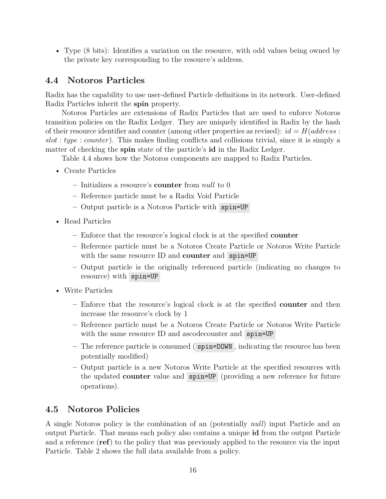• Type (8 bits): Identifies a variation on the resource, with odd values being owned by the private key corresponding to the resource's address.

## **4.4 Notoros Particles**

Radix has the capability to use user-defined Particle definitions in its network. User-defined Radix Particles inherit the **spin** property.

Notoros Particles are extensions of Radix Particles that are used to enforce Notoros transition policies on the Radix Ledger. They are uniquely identified in Radix by the hash of their resource identifier and counter (among other properties as revised):  $id = H(\text{address}:$ *slot* : *type* : *counter*). This makes finding conflicts and collisions trivial, since it is simply a matter of checking the **spin** state of the particle's **id** in the Radix Ledger.

Table 4.4 shows how the Notoros components are mapped to Radix Particles.

- Create Particles
	- **–** Initializes a resource's **counter** from *null* to 0
	- **–** Reference particle must be a Radix Void Particle
	- **–** Output particle is a Notoros Particle with spin=UP
- Read Particles
	- **–** Enforce that the resource's logical clock is at the specified **counter**
	- **–** Reference particle must be a Notoros Create Particle or Notoros Write Particle with the same resource ID and **counter** and spin=UP
	- **–** Output particle is the originally referenced particle (indicating no changes to resource) with spin=UP
- Write Particles
	- **–** Enforce that the resource's logical clock is at the specified **counter** and then increase the resource's clock by 1
	- **–** Reference particle must be a Notoros Create Particle or Notoros Write Particle with the same resource ID and ascodecounter and spin=UP
	- **–** The reference particle is consumed ( spin=DOWN , indicating the resource has been potentially modified)
	- **–** Output particle is a new Notoros Write Particle at the specified resources with the updated **counter** value and spin=UP (providing a new reference for future operations).

## **4.5 Notoros Policies**

A single Notoros policy is the combination of an (potentially *null*) input Particle and an output Particle. That means each policy also contains a unique **id** from the output Particle and a reference (**ref**) to the policy that was previously applied to the resource via the input Particle. Table 2 shows the full data available from a policy.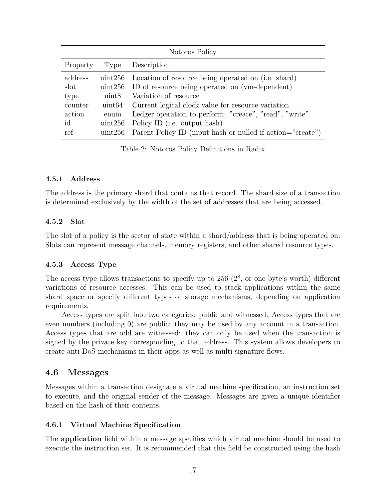| Notoros Policy |                  |                                                             |  |
|----------------|------------------|-------------------------------------------------------------|--|
| Property       | Type             | Description                                                 |  |
| address        |                  | uint256 Location of resource being operated on (i.e. shard) |  |
| slot           |                  | uint256 ID of resource being operated on (vm-dependent)     |  |
| type           | uint8            | Variation of resource                                       |  |
| counter        | uint64           | Current logical clock value for resource variation          |  |
| action         | enum             | Ledger operation to perform: "create", "read", "write"      |  |
| id             | uint256          | Policy ID (i.e. output hash)                                |  |
| ref            | $\text{uint256}$ | Parent Policy ID (input hash or nulled if action="create")  |  |

Table 2: Notoros Policy Definitions in Radix

#### **4.5.1 Address**

The address is the primary shard that contains that record. The shard size of a transaction is determined exclusively by the width of the set of addresses that are being accessed.

### **4.5.2 Slot**

The slot of a policy is the sector of state within a shard/address that is being operated on. Slots can represent message channels, memory registers, and other shared resource types.

### **4.5.3 Access Type**

The access type allows transactions to specify up to  $256 \ (2<sup>8</sup>)$ , or one byte's worth) different variations of resource accesses. This can be used to stack applications within the same shard space or specify different types of storage mechanisms, depending on application requirements.

Access types are split into two categories: public and witnessed. Access types that are even numbers (including 0) are public: they may be used by any account in a transaction. Access types that are odd are witnessed: they can only be used when the transaction is signed by the private key corresponding to that address. This system allows developers to create anti-DoS mechanisms in their apps as well as multi-signature flows.

### **4.6 Messages**

Messages within a transaction designate a virtual machine specification, an instruction set to execute, and the original sender of the message. Messages are given a unique identifier based on the hash of their contents.

### **4.6.1 Virtual Machine Specification**

The **application** field within a message specifies which virtual machine should be used to execute the instruction set. It is recommended that this field be constructed using the hash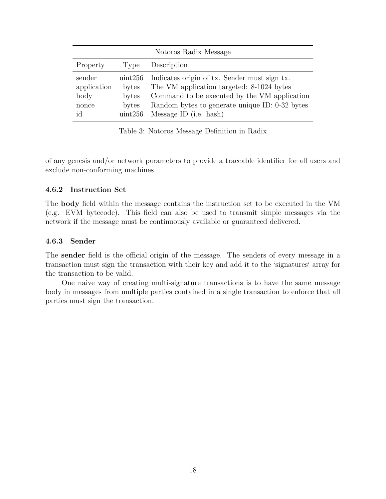| Notoros Radix Message                        |                                               |                                                                                                                                                                                                                       |  |
|----------------------------------------------|-----------------------------------------------|-----------------------------------------------------------------------------------------------------------------------------------------------------------------------------------------------------------------------|--|
| Property                                     | Type                                          | Description                                                                                                                                                                                                           |  |
| sender<br>application<br>body<br>nonce<br>id | uint256<br>bytes<br>bytes<br>bytes<br>uint256 | Indicates origin of tx. Sender must sign tx.<br>The VM application targeted: 8-1024 bytes<br>Command to be executed by the VM application<br>Random bytes to generate unique ID: 0-32 bytes<br>Message ID (i.e. hash) |  |

Table 3: Notoros Message Definition in Radix

of any genesis and/or network parameters to provide a traceable identifier for all users and exclude non-conforming machines.

#### **4.6.2 Instruction Set**

The **body** field within the message contains the instruction set to be executed in the VM (e.g. EVM bytecode). This field can also be used to transmit simple messages via the network if the message must be continuously available or guaranteed delivered.

#### **4.6.3 Sender**

The **sender** field is the official origin of the message. The senders of every message in a transaction must sign the transaction with their key and add it to the 'signatures' array for the transaction to be valid.

One naive way of creating multi-signature transactions is to have the same message body in messages from multiple parties contained in a single transaction to enforce that all parties must sign the transaction.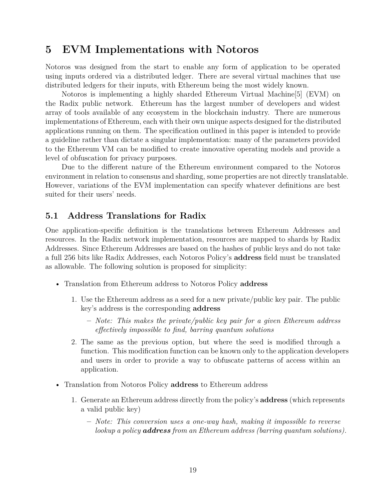# **5 EVM Implementations with Notoros**

Notoros was designed from the start to enable any form of application to be operated using inputs ordered via a distributed ledger. There are several virtual machines that use distributed ledgers for their inputs, with Ethereum being the most widely known.

Notoros is implementing a highly sharded Ethereum Virtual Machine[5] (EVM) on the Radix public network. Ethereum has the largest number of developers and widest array of tools available of any ecosystem in the blockchain industry. There are numerous implementations of Ethereum, each with their own unique aspects designed for the distributed applications running on them. The specification outlined in this paper is intended to provide a guideline rather than dictate a singular implementation: many of the parameters provided to the Ethereum VM can be modified to create innovative operating models and provide a level of obfuscation for privacy purposes.

Due to the different nature of the Ethereum environment compared to the Notoros environment in relation to consensus and sharding, some properties are not directly translatable. However, variations of the EVM implementation can specify whatever definitions are best suited for their users' needs.

## **5.1 Address Translations for Radix**

One application-specific definition is the translations between Ethereum Addresses and resources. In the Radix network implementation, resources are mapped to shards by Radix Addresses. Since Ethereum Addresses are based on the hashes of public keys and do not take a full 256 bits like Radix Addresses, each Notoros Policy's **address** field must be translated as allowable. The following solution is proposed for simplicity:

- Translation from Ethereum address to Notoros Policy **address**
	- 1. Use the Ethereum address as a seed for a new private/public key pair. The public key's address is the corresponding **address**
		- **–** *Note: This makes the private/public key pair for a given Ethereum address effectively impossible to find, barring quantum solutions*
	- 2. The same as the previous option, but where the seed is modified through a function. This modification function can be known only to the application developers and users in order to provide a way to obfuscate patterns of access within an application.
- Translation from Notoros Policy **address** to Ethereum address
	- 1. Generate an Ethereum address directly from the policy's **address** (which represents a valid public key)
		- **–** *Note: This conversion uses a one-way hash, making it impossible to reverse lookup a policy address from an Ethereum address (barring quantum solutions).*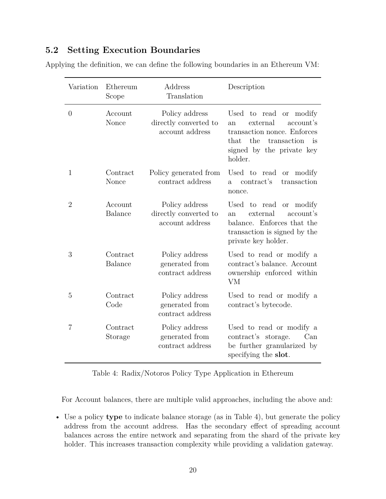## **5.2 Setting Execution Boundaries**

| Applying the definition, we can define the following boundaries in an Ethereum VM: |  |  |  |
|------------------------------------------------------------------------------------|--|--|--|
|------------------------------------------------------------------------------------|--|--|--|

| Variation      | Ethereum<br>Scope          | Address<br>Translation                                     | Description                                                                                                                                                         |  |
|----------------|----------------------------|------------------------------------------------------------|---------------------------------------------------------------------------------------------------------------------------------------------------------------------|--|
| $\theta$       | Account<br>Nonce           | Policy address<br>directly converted to<br>account address | Used to read<br>or modify<br>external<br>account's<br>an<br>transaction nonce. Enforces<br>the<br>that<br>transaction<br>is<br>signed by the private key<br>holder. |  |
| $\mathbf{1}$   | Contract<br>Nonce          | Policy generated from<br>contract address                  | Used to read<br>or modify<br>contract's<br>transaction<br>$\mathbf{a}$<br>nonce.                                                                                    |  |
| $\overline{2}$ | Account<br><b>Balance</b>  | Policy address<br>directly converted to<br>account address | Used to read<br>or modify<br>external<br>account's<br>an<br>balance. Enforces that the<br>transaction is signed by the<br>private key holder.                       |  |
| 3              | Contract<br><b>Balance</b> | Policy address<br>generated from<br>contract address       | Used to read or modify a<br>contract's balance. Account<br>ownership enforced within<br>VM                                                                          |  |
| 5              | Contract<br>Code           | Policy address<br>generated from<br>contract address       | Used to read or modify a<br>contract's bytecode.                                                                                                                    |  |
| 7              | Contract<br>Storage        | Policy address<br>generated from<br>contract address       | Used to read or modify a<br>contract's storage.<br>Can<br>be further granularized by<br>specifying the slot.                                                        |  |

Table 4: Radix/Notoros Policy Type Application in Ethereum

For Account balances, there are multiple valid approaches, including the above and:

• Use a policy **type** to indicate balance storage (as in Table 4), but generate the policy address from the account address. Has the secondary effect of spreading account balances across the entire network and separating from the shard of the private key holder. This increases transaction complexity while providing a validation gateway.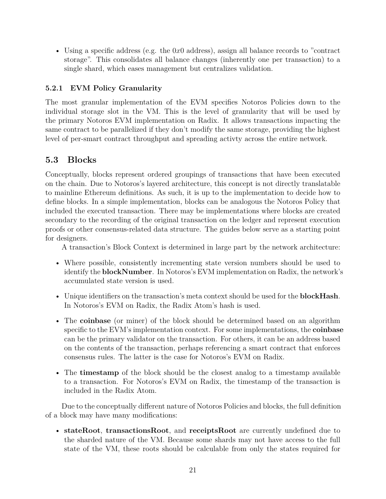• Using a specific address (e.g. the 0*x*0 address), assign all balance records to "contract storage". This consolidates all balance changes (inherently one per transaction) to a single shard, which eases management but centralizes validation.

## **5.2.1 EVM Policy Granularity**

The most granular implementation of the EVM specifies Notoros Policies down to the individual storage slot in the VM. This is the level of granularity that will be used by the primary Notoros EVM implementation on Radix. It allows transactions impacting the same contract to be parallelized if they don't modify the same storage, providing the highest level of per-smart contract throughput and spreading activty across the entire network.

# **5.3 Blocks**

Conceptually, blocks represent ordered groupings of transactions that have been executed on the chain. Due to Notoros's layered architecture, this concept is not directly translatable to mainline Ethereum definitions. As such, it is up to the implementation to decide how to define blocks. In a simple implementation, blocks can be analogous the Notoros Policy that included the executed transaction. There may be implementations where blocks are created secondary to the recording of the original transaction on the ledger and represent execution proofs or other consensus-related data structure. The guides below serve as a starting point for designers.

A transaction's Block Context is determined in large part by the network architecture:

- Where possible, consistently incrementing state version numbers should be used to identify the **blockNumber**. In Notoros's EVM implementation on Radix, the network's accumulated state version is used.
- Unique identifiers on the transaction's meta context should be used for the **blockHash**. In Notoros's EVM on Radix, the Radix Atom's hash is used.
- The **coinbase** (or miner) of the block should be determined based on an algorithm specific to the EVM's implementation context. For some implementations, the **coinbase** can be the primary validator on the transaction. For others, it can be an address based on the contents of the transaction, perhaps referencing a smart contract that enforces consensus rules. The latter is the case for Notoros's EVM on Radix.
- The **timestamp** of the block should be the closest analog to a timestamp available to a transaction. For Notoros's EVM on Radix, the timestamp of the transaction is included in the Radix Atom.

Due to the conceptually different nature of Notoros Policies and blocks, the full definition of a block may have many modifications:

• **stateRoot**, **transactionsRoot**, and **receiptsRoot** are currently undefined due to the sharded nature of the VM. Because some shards may not have access to the full state of the VM, these roots should be calculable from only the states required for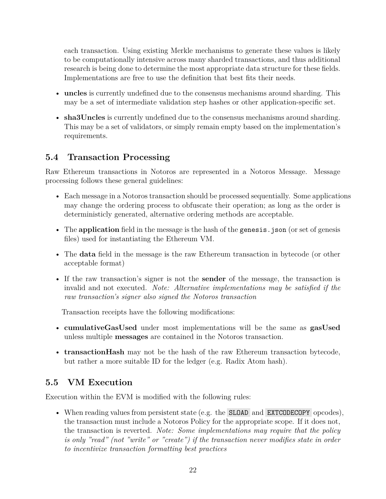each transaction. Using existing Merkle mechanisms to generate these values is likely to be computationally intensive across many sharded transactions, and thus additional research is being done to determine the most appropriate data structure for these fields. Implementations are free to use the definition that best fits their needs.

- **uncles** is currently undefined due to the consensus mechanisms around sharding. This may be a set of intermediate validation step hashes or other application-specific set.
- **sha3Uncles** is currently undefined due to the consensus mechanisms around sharding. This may be a set of validators, or simply remain empty based on the implementation's requirements.

# **5.4 Transaction Processing**

Raw Ethereum transactions in Notoros are represented in a Notoros Message. Message processing follows these general guidelines:

- Each message in a Notoros transaction should be processed sequentially. Some applications may change the ordering process to obfuscate their operation; as long as the order is deterministicly generated, alternative ordering methods are acceptable.
- The **application** field in the message is the hash of the genesis is on (or set of genesis) files) used for instantiating the Ethereum VM.
- The **data** field in the message is the raw Ethereum transaction in bytecode (or other acceptable format)
- If the raw transaction's signer is not the **sender** of the message, the transaction is invalid and not executed. *Note: Alternative implementations may be satisfied if the raw transaction's signer also signed the Notoros transaction*

Transaction receipts have the following modifications:

- **cumulativeGasUsed** under most implementations will be the same as **gasUsed** unless multiple **messages** are contained in the Notoros transaction.
- **transactionHash** may not be the hash of the raw Ethereum transaction bytecode, but rather a more suitable ID for the ledger (e.g. Radix Atom hash).

## **5.5 VM Execution**

Execution within the EVM is modified with the following rules:

• When reading values from persistent state (e.g. the **SLOAD** and **EXTCODECOPY** opcodes), the transaction must include a Notoros Policy for the appropriate scope. If it does not, the transaction is reverted. *Note: Some implementations may require that the policy is only "read" (not "write" or "create") if the transaction never modifies state in order to incentivize transaction formatting best practices*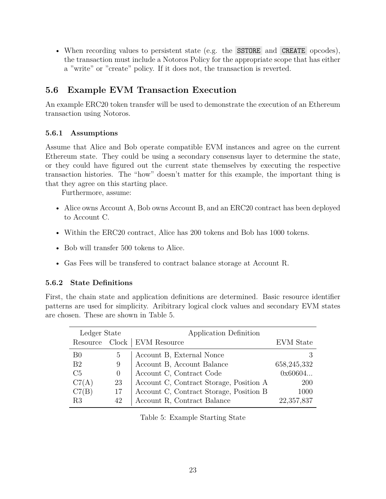• When recording values to persistent state (e.g. the SSTORE and CREATE opcodes), the transaction must include a Notoros Policy for the appropriate scope that has either a "write" or "create" policy. If it does not, the transaction is reverted.

## **5.6 Example EVM Transaction Execution**

An example ERC20 token transfer will be used to demonstrate the execution of an Ethereum transaction using Notoros.

### **5.6.1 Assumptions**

Assume that Alice and Bob operate compatible EVM instances and agree on the current Ethereum state. They could be using a secondary consensus layer to determine the state, or they could have figured out the current state themselves by executing the respective transaction histories. The "how" doesn't matter for this example, the important thing is that they agree on this starting place.

Furthermore, assume:

- Alice owns Account A, Bob owns Account B, and an ERC20 contract has been deployed to Account C.
- Within the ERC20 contract, Alice has 200 tokens and Bob has 1000 tokens.
- Bob will transfer 500 tokens to Alice.
- Gas Fees will be transfered to contract balance storage at Account R.

### **5.6.2 State Definitions**

First, the chain state and application definitions are determined. Basic resource identifier patterns are used for simplicity. Aribitrary logical clock values and secondary EVM states are chosen. These are shown in Table 5.

| Ledger State   |          | Application Definition                  |               |
|----------------|----------|-----------------------------------------|---------------|
|                |          | Resource Clock   EVM Resource           | EVM State     |
| B <sub>0</sub> | 5        | Account B, External Nonce               |               |
| B <sub>2</sub> | 9        | Account B, Account Balance              | 658, 245, 332 |
| C <sub>5</sub> | $\theta$ | Account C, Contract Code                | 0x60604       |
| C7(A)          | 23       | Account C, Contract Storage, Position A | <b>200</b>    |
| C7(B)          | 17       | Account C, Contract Storage, Position B | 1000          |
| R <sub>3</sub> | 42       | Account R, Contract Balance             | 22,357,837    |

Table 5: Example Starting State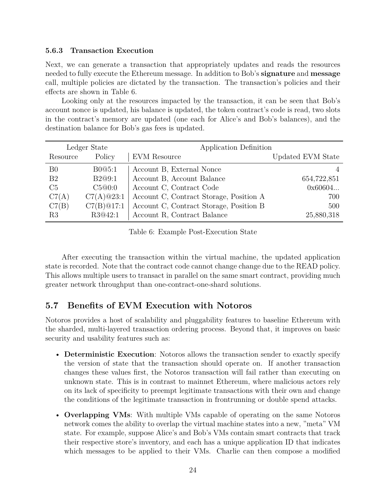### **5.6.3 Transaction Execution**

Next, we can generate a transaction that appropriately updates and reads the resources needed to fully execute the Ethereum message. In addition to Bob's **signature** and **message** call, multiple policies are dictated by the transaction. The transaction's policies and their effects are shown in Table 6.

Looking only at the resources impacted by the transaction, it can be seen that Bob's account nonce is updated, his balance is updated, the token contract's code is read, two slots in the contract's memory are updated (one each for Alice's and Bob's balances), and the destination balance for Bob's gas fees is updated.

|                | Ledger State | Application Definition                  |                   |
|----------------|--------------|-----------------------------------------|-------------------|
| Resource       | Policy       | <b>EVM</b> Resource                     | Updated EVM State |
| B <sub>0</sub> | B0@5:1       | Account B, External Nonce               |                   |
| B <sub>2</sub> | B2@9:1       | Account B, Account Balance              | 654,722,851       |
| C <sub>5</sub> | C5@0:0       | Account C, Contract Code                | 0x60604           |
| C7(A)          | C7(A)@23:1   | Account C, Contract Storage, Position A | 700               |
| C7(B)          | C7(B)@17:1   | Account C, Contract Storage, Position B | 500               |
| R3             | R3@42:1      | Account R, Contract Balance             | 25,880,318        |

Table 6: Example Post-Execution State

After executing the transaction within the virtual machine, the updated application state is recorded. Note that the contract code cannot change change due to the READ policy. This allows multiple users to transact in parallel on the same smart contract, providing much greater network throughput than one-contract-one-shard solutions.

## **5.7 Benefits of EVM Execution with Notoros**

Notoros provides a host of scalability and pluggability features to baseline Ethereum with the sharded, multi-layered transaction ordering process. Beyond that, it improves on basic security and usability features such as:

- **Deterministic Execution**: Notoros allows the transaction sender to exactly specify the version of state that the transaction should operate on. If another transaction changes these values first, the Notoros transaction will fail rather than executing on unknown state. This is in contrast to mainnet Ethereum, where malicious actors rely on its lack of specificity to preempt legitimate transactions with their own and change the conditions of the legitimate transaction in frontrunning or double spend attacks.
- **Overlapping VMs**: With multiple VMs capable of operating on the same Notoros network comes the ability to overlap the virtual machine states into a new, "meta" VM state. For example, suppose Alice's and Bob's VMs contain smart contracts that track their respective store's inventory, and each has a unique application ID that indicates which messages to be applied to their VMs. Charlie can then compose a modified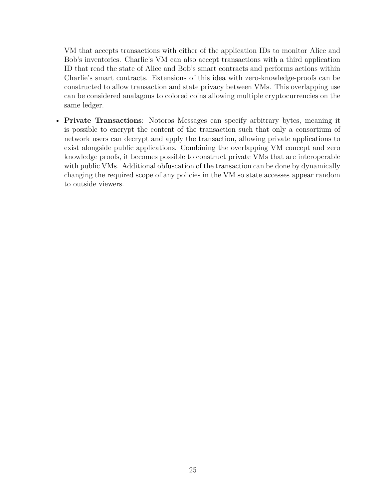VM that accepts transactions with either of the application IDs to monitor Alice and Bob's inventories. Charlie's VM can also accept transactions with a third application ID that read the state of Alice and Bob's smart contracts and performs actions within Charlie's smart contracts. Extensions of this idea with zero-knowledge-proofs can be constructed to allow transaction and state privacy between VMs. This overlapping use can be considered analagous to colored coins allowing multiple cryptocurrencies on the same ledger.

• **Private Transactions**: Notoros Messages can specify arbitrary bytes, meaning it is possible to encrypt the content of the transaction such that only a consortium of network users can decrypt and apply the transaction, allowing private applications to exist alongside public applications. Combining the overlapping VM concept and zero knowledge proofs, it becomes possible to construct private VMs that are interoperable with public VMs. Additional obfuscation of the transaction can be done by dynamically changing the required scope of any policies in the VM so state accesses appear random to outside viewers.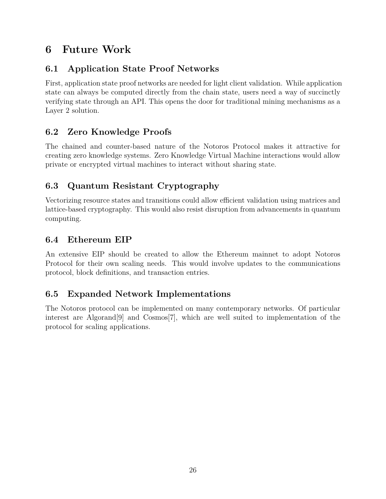# **6 Future Work**

# **6.1 Application State Proof Networks**

First, application state proof networks are needed for light client validation. While application state can always be computed directly from the chain state, users need a way of succinctly verifying state through an API. This opens the door for traditional mining mechanisms as a Layer 2 solution.

# **6.2 Zero Knowledge Proofs**

The chained and counter-based nature of the Notoros Protocol makes it attractive for creating zero knowledge systems. Zero Knowledge Virtual Machine interactions would allow private or encrypted virtual machines to interact without sharing state.

# **6.3 Quantum Resistant Cryptography**

Vectorizing resource states and transitions could allow efficient validation using matrices and lattice-based cryptography. This would also resist disruption from advancements in quantum computing.

## **6.4 Ethereum EIP**

An extensive EIP should be created to allow the Ethereum mainnet to adopt Notoros Protocol for their own scaling needs. This would involve updates to the communications protocol, block definitions, and transaction entries.

# **6.5 Expanded Network Implementations**

The Notoros protocol can be implemented on many contemporary networks. Of particular interest are Algorand[9] and Cosmos[7], which are well suited to implementation of the protocol for scaling applications.